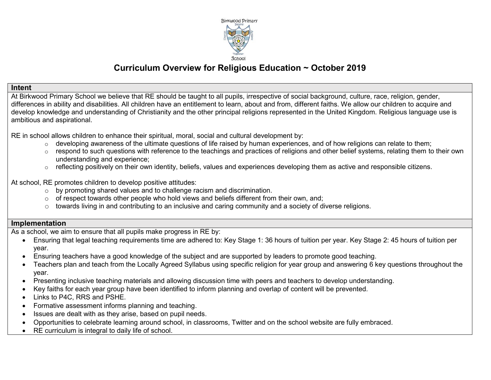

# **Curriculum Overview for Religious Education ~ October 2019**

#### **Intent**

At Birkwood Primary School we believe that RE should be taught to all pupils, irrespective of social background, culture, race, religion, gender, differences in ability and disabilities. All children have an entitlement to learn, about and from, different faiths. We allow our children to acquire and develop knowledge and understanding of Christianity and the other principal religions represented in the United Kingdom. Religious language use is ambitious and aspirational.

RE in school allows children to enhance their spiritual, moral, social and cultural development by:

- $\circ$  developing awareness of the ultimate questions of life raised by human experiences, and of how religions can relate to them;
- o respond to such questions with reference to the teachings and practices of religions and other belief systems, relating them to their own understanding and experience;
- $\circ$  reflecting positively on their own identity, beliefs, values and experiences developing them as active and responsible citizens.

At school, RE promotes children to develop positive attitudes:

- o by promoting shared values and to challenge racism and discrimination.
- $\circ$  of respect towards other people who hold views and beliefs different from their own, and;
- o towards living in and contributing to an inclusive and caring community and a society of diverse religions.

## **Implementation**

As a school, we aim to ensure that all pupils make progress in RE by:

- Ensuring that legal teaching requirements time are adhered to: Key Stage 1: 36 hours of tuition per year. Key Stage 2: 45 hours of tuition per year.
- Ensuring teachers have a good knowledge of the subject and are supported by leaders to promote good teaching.
- Teachers plan and teach from the Locally Agreed Syllabus using specific religion for year group and answering 6 key questions throughout the year.
- Presenting inclusive teaching materials and allowing discussion time with peers and teachers to develop understanding.
- Key faiths for each year group have been identified to inform planning and overlap of content will be prevented.
- Links to P4C, RRS and PSHE.
- Formative assessment informs planning and teaching.
- Issues are dealt with as they arise, based on pupil needs.
- Opportunities to celebrate learning around school, in classrooms, Twitter and on the school website are fully embraced.
- RE curriculum is integral to daily life of school.